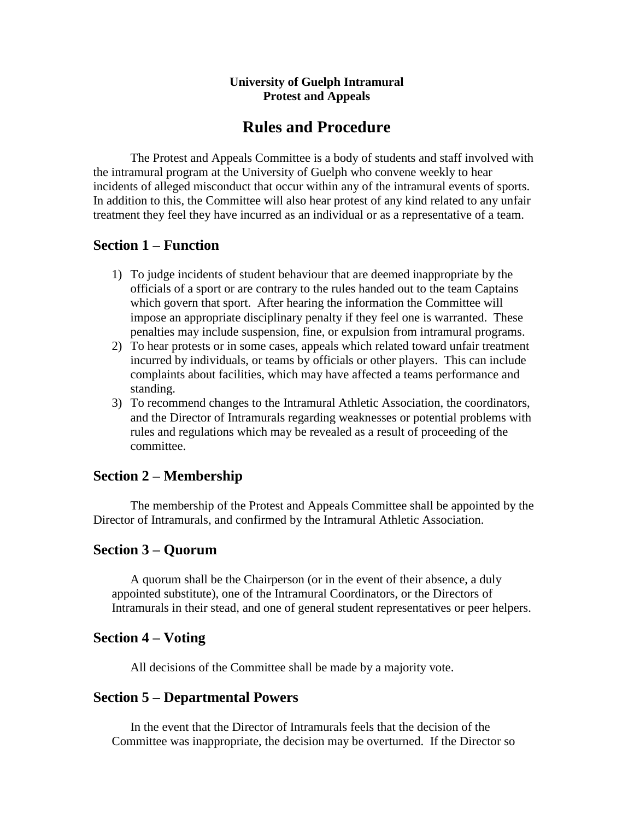#### **University of Guelph Intramural Protest and Appeals**

# **Rules and Procedure**

The Protest and Appeals Committee is a body of students and staff involved with the intramural program at the University of Guelph who convene weekly to hear incidents of alleged misconduct that occur within any of the intramural events of sports. In addition to this, the Committee will also hear protest of any kind related to any unfair treatment they feel they have incurred as an individual or as a representative of a team.

# **Section 1 – Function**

- 1) To judge incidents of student behaviour that are deemed inappropriate by the officials of a sport or are contrary to the rules handed out to the team Captains which govern that sport. After hearing the information the Committee will impose an appropriate disciplinary penalty if they feel one is warranted. These penalties may include suspension, fine, or expulsion from intramural programs.
- 2) To hear protests or in some cases, appeals which related toward unfair treatment incurred by individuals, or teams by officials or other players. This can include complaints about facilities, which may have affected a teams performance and standing.
- 3) To recommend changes to the Intramural Athletic Association, the coordinators, and the Director of Intramurals regarding weaknesses or potential problems with rules and regulations which may be revealed as a result of proceeding of the committee.

# **Section 2 – Membership**

The membership of the Protest and Appeals Committee shall be appointed by the Director of Intramurals, and confirmed by the Intramural Athletic Association.

### **Section 3 – Quorum**

A quorum shall be the Chairperson (or in the event of their absence, a duly appointed substitute), one of the Intramural Coordinators, or the Directors of Intramurals in their stead, and one of general student representatives or peer helpers.

# **Section 4 – Voting**

All decisions of the Committee shall be made by a majority vote.

### **Section 5 – Departmental Powers**

In the event that the Director of Intramurals feels that the decision of the Committee was inappropriate, the decision may be overturned. If the Director so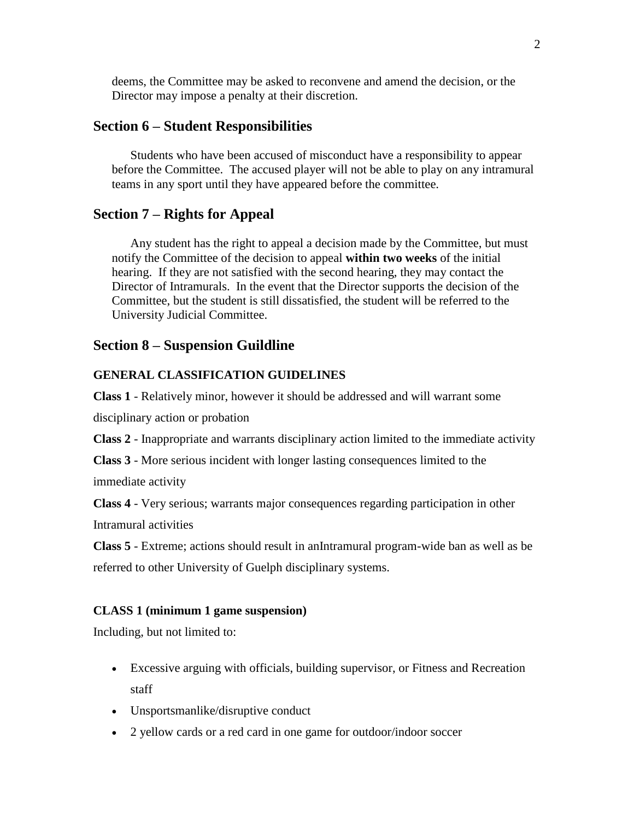deems, the Committee may be asked to reconvene and amend the decision, or the Director may impose a penalty at their discretion.

#### **Section 6 – Student Responsibilities**

Students who have been accused of misconduct have a responsibility to appear before the Committee. The accused player will not be able to play on any intramural teams in any sport until they have appeared before the committee.

### **Section 7 – Rights for Appeal**

Any student has the right to appeal a decision made by the Committee, but must notify the Committee of the decision to appeal **within two weeks** of the initial hearing. If they are not satisfied with the second hearing, they may contact the Director of Intramurals. In the event that the Director supports the decision of the Committee, but the student is still dissatisfied, the student will be referred to the University Judicial Committee.

#### **Section 8 – Suspension Guildline**

#### **GENERAL CLASSIFICATION GUIDELINES**

**[Class 1](http://campusrec.uwo.ca/intramurals/suspension_guidelines.htm#Class1)** - Relatively minor, however it should be addressed and will warrant some

disciplinary action or probation

**[Class 2](http://campusrec.uwo.ca/intramurals/suspension_guidelines.htm#Class2)** - Inappropriate and warrants disciplinary action limited to the immediate activity

**[Class 3](http://campusrec.uwo.ca/intramurals/suspension_guidelines.htm#Class3)** - More serious incident with longer lasting consequences limited to the

immediate activity

**[Class 4](http://campusrec.uwo.ca/intramurals/suspension_guidelines.htm#Class4)** - Very serious; warrants major consequences regarding participation in other Intramural activities

**[Class 5](http://campusrec.uwo.ca/intramurals/suspension_guidelines.htm#Class5)** - Extreme; actions should result in anIntramural program-wide ban as well as be referred to other University of Guelph disciplinary systems.

#### **CLASS 1 (minimum 1 game suspension)**

Including, but not limited to:

- Excessive arguing with officials, building supervisor, or Fitness and Recreation staff
- Unsportsmanlike/disruptive conduct
- 2 yellow cards or a red card in one game for outdoor/indoor soccer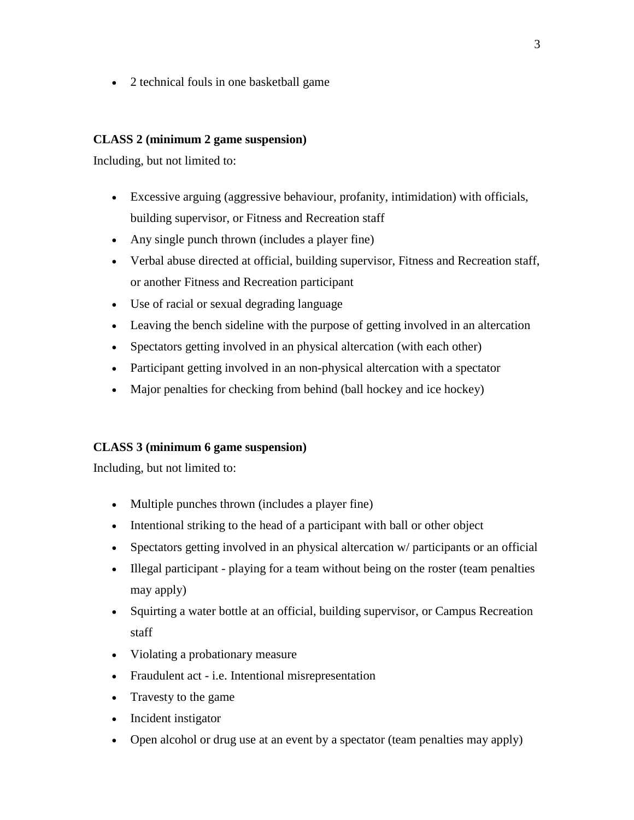• 2 technical fouls in one basketball game

#### **CLASS 2 (minimum 2 game suspension)**

Including, but not limited to:

- Excessive arguing (aggressive behaviour, profanity, intimidation) with officials, building supervisor, or Fitness and Recreation staff
- Any single punch thrown (includes a player fine)
- Verbal abuse directed at official, building supervisor, Fitness and Recreation staff, or another Fitness and Recreation participant
- Use of racial or sexual degrading language
- Leaving the bench sideline with the purpose of getting involved in an altercation
- Spectators getting involved in an physical altercation (with each other)
- Participant getting involved in an non-physical altercation with a spectator
- Major penalties for checking from behind (ball hockey and ice hockey)

### **CLASS 3 (minimum 6 game suspension)**

Including, but not limited to:

- Multiple punches thrown (includes a player fine)
- Intentional striking to the head of a participant with ball or other object
- Spectators getting involved in an physical altercation w/ participants or an official
- Illegal participant playing for a team without being on the roster (team penalties may apply)
- Squirting a water bottle at an official, building supervisor, or Campus Recreation staff
- Violating a probationary measure
- Fraudulent act i.e. Intentional misrepresentation
- Travesty to the game
- Incident instigator
- Open alcohol or drug use at an event by a spectator (team penalties may apply)